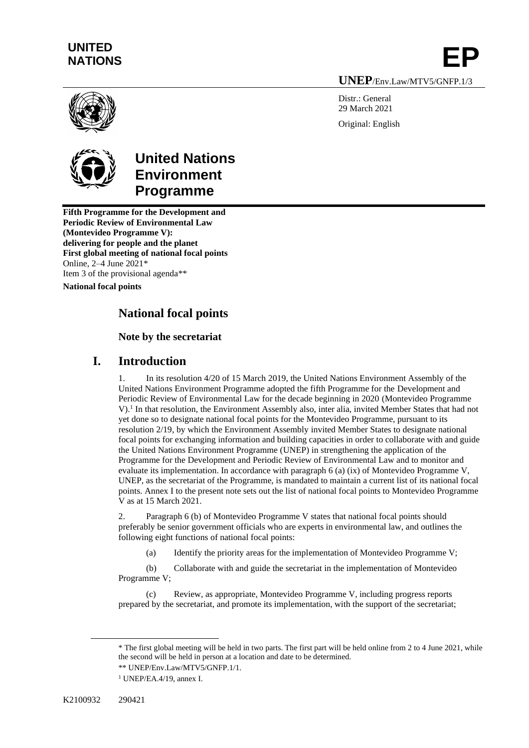# **UNITED**  UNITED<br>NATIONS **EP**

**UNEP**/Env.Law/MTV5/GNFP.1/3

Distr · General 29 March 2021 Original: English



## **United Nations Environment Programme**

**Fifth Programme for the Development and Periodic Review of Environmental Law (Montevideo Programme V): delivering for people and the planet First global meeting of national focal points** Online, 2–4 June 2021\* Item 3 of the provisional agenda\*\*

**National focal points**

## **National focal points**

### **Note by the secretariat**

### **I. Introduction**

1. In its resolution 4/20 of 15 March 2019, the United Nations Environment Assembly of the United Nations Environment Programme adopted the fifth Programme for the Development and Periodic Review of Environmental Law for the decade beginning in 2020 (Montevideo Programme V).<sup>1</sup> In that resolution, the Environment Assembly also, inter alia, invited Member States that had not yet done so to designate national focal points for the Montevideo Programme, pursuant to its resolution 2/19, by which the Environment Assembly invited Member States to designate national focal points for exchanging information and building capacities in order to collaborate with and guide the United Nations Environment Programme (UNEP) in strengthening the application of the Programme for the Development and Periodic Review of Environmental Law and to monitor and evaluate its implementation. In accordance with paragraph 6 (a) (ix) of Montevideo Programme V, UNEP, as the secretariat of the Programme, is mandated to maintain a current list of its national focal points. Annex I to the present note sets out the list of national focal points to Montevideo Programme V as at 15 March 2021.

2. Paragraph 6 (b) of Montevideo Programme V states that national focal points should preferably be senior government officials who are experts in environmental law, and outlines the following eight functions of national focal points:

(a) Identify the priority areas for the implementation of Montevideo Programme V;

(b) Collaborate with and guide the secretariat in the implementation of Montevideo Programme V;

Review, as appropriate, Montevideo Programme V, including progress reports prepared by the secretariat, and promote its implementation, with the support of the secretariat;

<sup>\*</sup> The first global meeting will be held in two parts. The first part will be held online from 2 to 4 June 2021, while the second will be held in person at a location and date to be determined.

<sup>1</sup> UNEP/EA.4/19, annex I.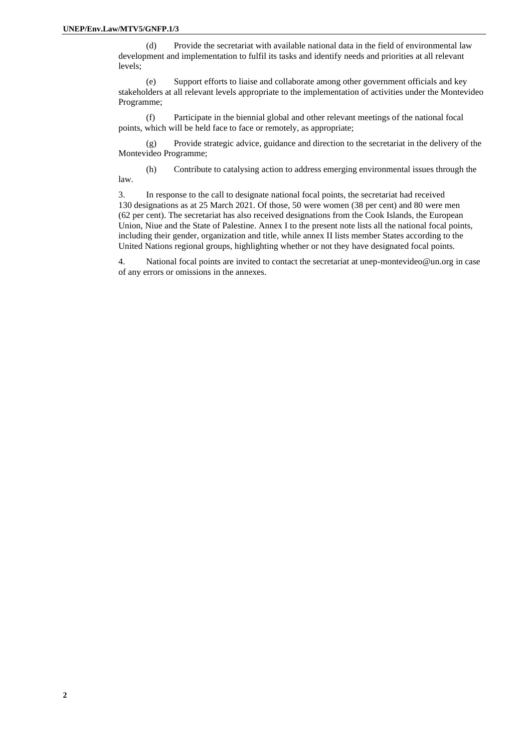(d) Provide the secretariat with available national data in the field of environmental law development and implementation to fulfil its tasks and identify needs and priorities at all relevant levels;

(e) Support efforts to liaise and collaborate among other government officials and key stakeholders at all relevant levels appropriate to the implementation of activities under the Montevideo Programme;

(f) Participate in the biennial global and other relevant meetings of the national focal points, which will be held face to face or remotely, as appropriate;

(g) Provide strategic advice, guidance and direction to the secretariat in the delivery of the Montevideo Programme;

(h) Contribute to catalysing action to address emerging environmental issues through the law.

3. In response to the call to designate national focal points, the secretariat had received 130 designations as at 25 March 2021. Of those, 50 were women (38 per cent) and 80 were men (62 per cent). The secretariat has also received designations from the Cook Islands, the European Union, Niue and the State of Palestine. Annex I to the present note lists all the national focal points, including their gender, organization and title, while annex II lists member States according to the United Nations regional groups, highlighting whether or not they have designated focal points.

4. National focal points are invited to contact the secretariat at unep-montevideo@un.org in case of any errors or omissions in the annexes.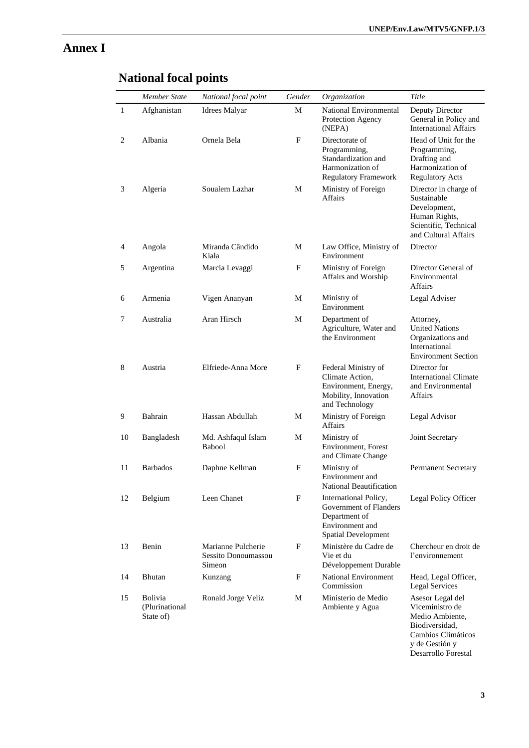### **Annex I**

|              | <b>Member State</b>                           | National focal point                                | Gender | Organization                                                                                                      | Title                                                                                                                  |
|--------------|-----------------------------------------------|-----------------------------------------------------|--------|-------------------------------------------------------------------------------------------------------------------|------------------------------------------------------------------------------------------------------------------------|
| $\mathbf{1}$ | Afghanistan                                   | <b>Idrees Malyar</b>                                | М      | National Environmental<br>Protection Agency<br>(NEPA)                                                             | Deputy Director<br>General in Policy and<br><b>International Affairs</b>                                               |
| 2            | Albania                                       | Ornela Bela                                         | F      | Directorate of<br>Programming,<br>Standardization and<br>Harmonization of<br><b>Regulatory Framework</b>          | Head of Unit for the<br>Programming,<br>Drafting and<br>Harmonization of<br><b>Regulatory Acts</b>                     |
| 3            | Algeria                                       | Soualem Lazhar                                      | М      | Ministry of Foreign<br><b>Affairs</b>                                                                             | Director in charge of<br>Sustainable<br>Development,<br>Human Rights,<br>Scientific, Technical<br>and Cultural Affairs |
| 4            | Angola                                        | Miranda Cândido<br>Kiala                            | М      | Law Office, Ministry of<br>Environment                                                                            | Director                                                                                                               |
| 5            | Argentina                                     | Marcia Levaggi                                      | F      | Ministry of Foreign<br>Affairs and Worship                                                                        | Director General of<br>Environmental<br><b>Affairs</b>                                                                 |
| 6            | Armenia                                       | Vigen Ananyan                                       | М      | Ministry of<br>Environment                                                                                        | Legal Adviser                                                                                                          |
| 7            | Australia                                     | Aran Hirsch                                         | M      | Department of<br>Agriculture, Water and<br>the Environment                                                        | Attorney,<br><b>United Nations</b><br>Organizations and<br>International<br><b>Environment Section</b>                 |
| 8            | Austria                                       | Elfriede-Anna More                                  | F      | Federal Ministry of<br>Climate Action,<br>Environment, Energy,<br>Mobility, Innovation<br>and Technology          | Director for<br><b>International Climate</b><br>and Environmental<br>Affairs                                           |
| 9            | Bahrain                                       | Hassan Abdullah                                     | M      | Ministry of Foreign<br><b>Affairs</b>                                                                             | Legal Advisor                                                                                                          |
| 10           | Bangladesh                                    | Md. Ashfaqul Islam<br><b>Babool</b>                 | M      | Ministry of<br>Environment, Forest<br>and Climate Change                                                          | Joint Secretary                                                                                                        |
| 11           | <b>Barbados</b>                               | Daphne Kellman                                      | F      | Ministry of<br>Environment and<br>National Beautification                                                         | <b>Permanent Secretary</b>                                                                                             |
| 12           | Belgium                                       | Leen Chanet                                         | F      | International Policy,<br>Government of Flanders<br>Department of<br>Environment and<br><b>Spatial Development</b> | Legal Policy Officer                                                                                                   |
| 13           | Benin                                         | Marianne Pulcherie<br>Sessito Donoumassou<br>Simeon | F      | Ministère du Cadre de<br>Vie et du<br>Développement Durable                                                       | Chercheur en droit de<br>l'environnement                                                                               |
| 14           | Bhutan                                        | Kunzang                                             | F      | <b>National Environment</b><br>Commission                                                                         | Head, Legal Officer,<br><b>Legal Services</b>                                                                          |
| 15           | <b>Bolivia</b><br>(Plurinational<br>State of) | Ronald Jorge Veliz                                  | М      | Ministerio de Medio<br>Ambiente y Agua                                                                            | Asesor Legal del<br>Viceministro de<br>Medio Ambiente,<br>Biodiversidad,<br>Cambios Climáticos<br>y de Gestión y       |

# **National focal points**

Desarrollo Forestal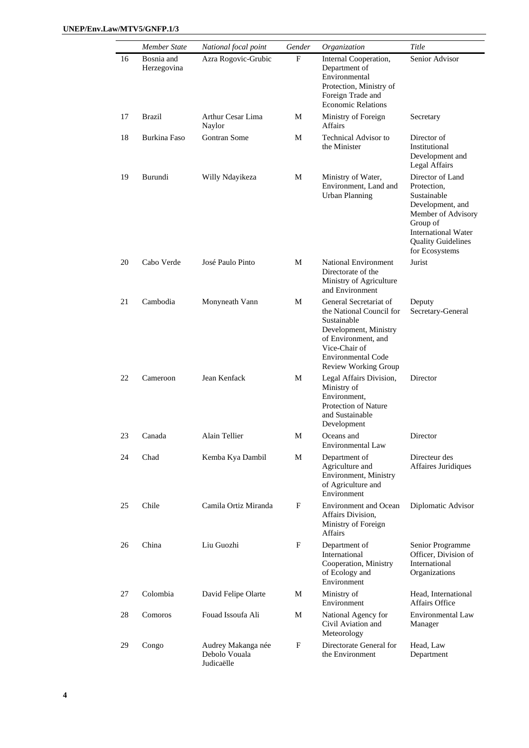|    | Member State              | National focal point                              | Gender | Organization                                                                                                                                                                            | Title                                                                                                                                                                             |
|----|---------------------------|---------------------------------------------------|--------|-----------------------------------------------------------------------------------------------------------------------------------------------------------------------------------------|-----------------------------------------------------------------------------------------------------------------------------------------------------------------------------------|
| 16 | Bosnia and<br>Herzegovina | Azra Rogovic-Grubic                               | F      | Internal Cooperation,<br>Department of<br>Environmental<br>Protection, Ministry of<br>Foreign Trade and<br><b>Economic Relations</b>                                                    | Senior Advisor                                                                                                                                                                    |
| 17 | Brazil                    | Arthur Cesar Lima<br>Naylor                       | M      | Ministry of Foreign<br><b>Affairs</b>                                                                                                                                                   | Secretary                                                                                                                                                                         |
| 18 | Burkina Faso              | Gontran Some                                      | М      | <b>Technical Advisor to</b><br>the Minister                                                                                                                                             | Director of<br>Institutional<br>Development and<br>Legal Affairs                                                                                                                  |
| 19 | Burundi                   | Willy Ndayikeza                                   | М      | Ministry of Water,<br>Environment, Land and<br><b>Urban Planning</b>                                                                                                                    | Director of Land<br>Protection,<br>Sustainable<br>Development, and<br>Member of Advisory<br>Group of<br><b>International Water</b><br><b>Quality Guidelines</b><br>for Ecosystems |
| 20 | Cabo Verde                | José Paulo Pinto                                  | M      | <b>National Environment</b><br>Directorate of the<br>Ministry of Agriculture<br>and Environment                                                                                         | Jurist                                                                                                                                                                            |
| 21 | Cambodia                  | Monyneath Vann                                    | M      | General Secretariat of<br>the National Council for<br>Sustainable<br>Development, Ministry<br>of Environment, and<br>Vice-Chair of<br><b>Environmental Code</b><br>Review Working Group | Deputy<br>Secretary-General                                                                                                                                                       |
| 22 | Cameroon                  | Jean Kenfack                                      | М      | Legal Affairs Division,<br>Ministry of<br>Environment.<br>Protection of Nature<br>and Sustainable<br>Development                                                                        | Director                                                                                                                                                                          |
| 23 | Canada                    | Alain Tellier                                     | M      | Oceans and<br>Environmental Law                                                                                                                                                         | Director                                                                                                                                                                          |
| 24 | Chad                      | Kemba Kya Dambil                                  | М      | Department of<br>Agriculture and<br>Environment, Ministry<br>of Agriculture and<br>Environment                                                                                          | Directeur des<br>Affaires Juridiques                                                                                                                                              |
| 25 | Chile                     | Camila Ortiz Miranda                              | F      | <b>Environment and Ocean</b><br>Affairs Division,<br>Ministry of Foreign<br>Affairs                                                                                                     | Diplomatic Advisor                                                                                                                                                                |
| 26 | China                     | Liu Guozhi                                        | F      | Department of<br>International<br>Cooperation, Ministry<br>of Ecology and<br>Environment                                                                                                | Senior Programme<br>Officer, Division of<br>International<br>Organizations                                                                                                        |
| 27 | Colombia                  | David Felipe Olarte                               | M      | Ministry of<br>Environment                                                                                                                                                              | Head, International<br><b>Affairs Office</b>                                                                                                                                      |
| 28 | Comoros                   | Fouad Issoufa Ali                                 | M      | National Agency for<br>Civil Aviation and<br>Meteorology                                                                                                                                | <b>Environmental Law</b><br>Manager                                                                                                                                               |
| 29 | Congo                     | Audrey Makanga née<br>Debolo Vouala<br>Judicaëlle | F      | Directorate General for<br>the Environment                                                                                                                                              | Head, Law<br>Department                                                                                                                                                           |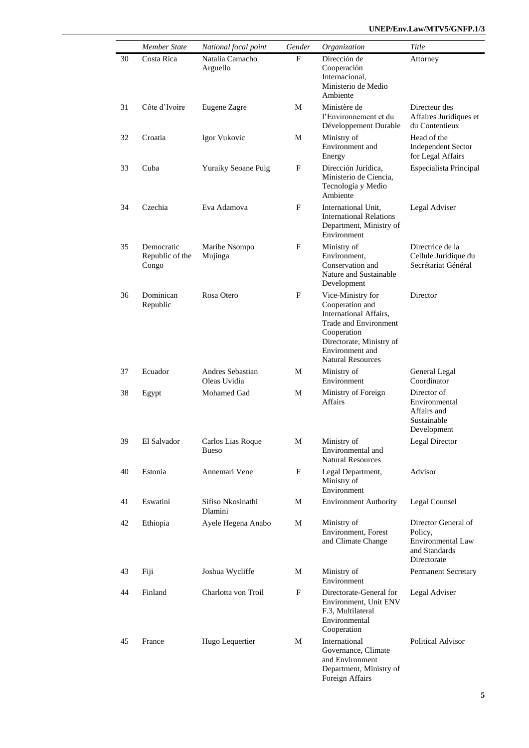|    | <b>Member State</b>                    | National focal point              | Gender | Organization                                                                                                                                                                      | Title                                                                               |
|----|----------------------------------------|-----------------------------------|--------|-----------------------------------------------------------------------------------------------------------------------------------------------------------------------------------|-------------------------------------------------------------------------------------|
| 30 | Costa Rica                             | Natalia Camacho<br>Arguello       | F      | Dirección de<br>Cooperación<br>Internacional,<br>Ministerio de Medio<br>Ambiente                                                                                                  | Attorney                                                                            |
| 31 | Côte d'Ivoire                          | Eugene Zagre                      | M      | Ministère de<br>l'Environnement et du<br>Développement Durable                                                                                                                    | Directeur des<br>Affaires Juridiques et<br>du Contentieux                           |
| 32 | Croatia                                | Igor Vukovic                      | М      | Ministry of<br>Environment and<br>Energy                                                                                                                                          | Head of the<br><b>Independent Sector</b><br>for Legal Affairs                       |
| 33 | Cuba                                   | <b>Yuraiky Seoane Puig</b>        | F      | Dirección Jurídica.<br>Ministerio de Ciencia,<br>Tecnología y Medio<br>Ambiente                                                                                                   | Especialista Principal                                                              |
| 34 | Czechia                                | Eva Adamova                       | F      | International Unit.<br><b>International Relations</b><br>Department, Ministry of<br>Environment                                                                                   | Legal Adviser                                                                       |
| 35 | Democratic<br>Republic of the<br>Congo | Maribe Nsompo<br>Mujinga          | F      | Ministry of<br>Environment,<br>Conservation and<br>Nature and Sustainable<br>Development                                                                                          | Directrice de la<br>Cellule Juridique du<br>Secrétariat Général                     |
| 36 | Dominican<br>Republic                  | Rosa Otero                        | F      | Vice-Ministry for<br>Cooperation and<br>International Affairs,<br>Trade and Environment<br>Cooperation<br>Directorate, Ministry of<br>Environment and<br><b>Natural Resources</b> | Director                                                                            |
| 37 | Ecuador                                | Andres Sebastian<br>Oleas Uvidia  | M      | Ministry of<br>Environment                                                                                                                                                        | General Legal<br>Coordinator                                                        |
| 38 | Egypt                                  | Mohamed Gad                       | М      | Ministry of Foreign<br>Affairs                                                                                                                                                    | Director of<br>Environmental<br>Affairs and<br>Sustainable<br>Development           |
| 39 | El Salvador                            | Carlos Lias Roque<br><b>Bueso</b> | М      | Ministry of<br>Environmental and<br><b>Natural Resources</b>                                                                                                                      | <b>Legal Director</b>                                                               |
| 40 | Estonia                                | Annemari Vene                     | F      | Legal Department,<br>Ministry of<br>Environment                                                                                                                                   | Advisor                                                                             |
| 41 | Eswatini                               | Sifiso Nkosinathi<br>Dlamini      | М      | <b>Environment Authority</b>                                                                                                                                                      | Legal Counsel                                                                       |
| 42 | Ethiopia                               | Ayele Hegena Anabo                | М      | Ministry of<br><b>Environment</b> , Forest<br>and Climate Change                                                                                                                  | Director General of<br>Policy,<br>Environmental Law<br>and Standards<br>Directorate |
| 43 | Fiji                                   | Joshua Wycliffe                   | М      | Ministry of<br>Environment                                                                                                                                                        | <b>Permanent Secretary</b>                                                          |
| 44 | Finland                                | Charlotta von Troil               | F      | Directorate-General for<br>Environment, Unit ENV<br>F.3, Multilateral<br>Environmental<br>Cooperation                                                                             | Legal Adviser                                                                       |
| 45 | France                                 | Hugo Lequertier                   | M      | International<br>Governance, Climate<br>and Environment<br>Department, Ministry of<br>Foreign Affairs                                                                             | Political Advisor                                                                   |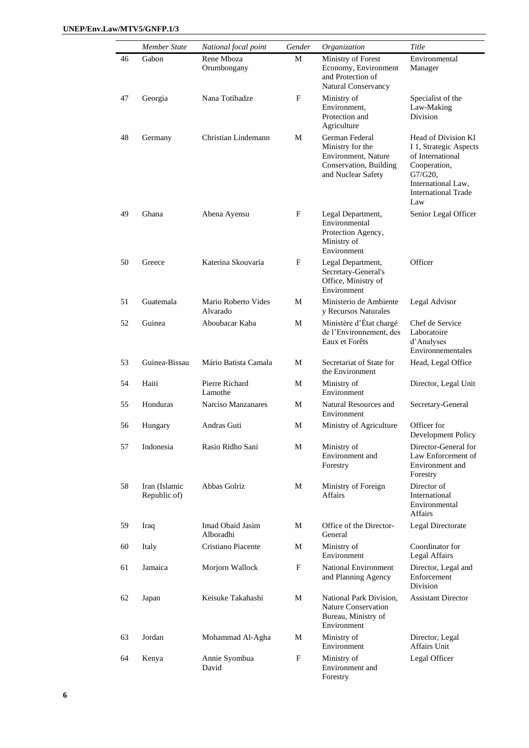|    | Member State                  | National focal point            | Gender      | Organization                                                                                              | Title                                                                                                                                                      |
|----|-------------------------------|---------------------------------|-------------|-----------------------------------------------------------------------------------------------------------|------------------------------------------------------------------------------------------------------------------------------------------------------------|
| 46 | Gabon                         | Rene Mboza<br>Orumbongany       | M           | Ministry of Forest<br>Economy, Environment<br>and Protection of<br>Natural Conservancy                    | Environmental<br>Manager                                                                                                                                   |
| 47 | Georgia                       | Nana Totibadze                  | F           | Ministry of<br>Environment,<br>Protection and<br>Agriculture                                              | Specialist of the<br>Law-Making<br>Division                                                                                                                |
| 48 | Germany                       | Christian Lindemann             | М           | German Federal<br>Ministry for the<br>Environment, Nature<br>Conservation, Building<br>and Nuclear Safety | Head of Division KI<br>I 1, Strategic Aspects<br>of International<br>Cooperation,<br>$G7/G20$ ,<br>International Law,<br><b>International Trade</b><br>Law |
| 49 | Ghana                         | Abena Ayensu                    | F           | Legal Department,<br>Environmental<br>Protection Agency,<br>Ministry of<br>Environment                    | Senior Legal Officer                                                                                                                                       |
| 50 | Greece                        | Katerina Skouvaria              | F           | Legal Department,<br>Secretary-General's<br>Office, Ministry of<br>Environment                            | Officer                                                                                                                                                    |
| 51 | Guatemala                     | Mario Roberto Vides<br>Alvarado | M           | Ministerio de Ambiente<br>y Recursos Naturales                                                            | Legal Advisor                                                                                                                                              |
| 52 | Guinea                        | Aboubacar Kaba                  | M           | Ministère d'État chargé<br>de l'Environnement, des<br>Eaux et Forêts                                      | Chef de Service<br>Laboratoire<br>d'Analyses<br>Environnementales                                                                                          |
| 53 | Guinea-Bissau                 | Mário Batista Camala            | M           | Secretariat of State for<br>the Environment                                                               | Head, Legal Office                                                                                                                                         |
| 54 | Haiti                         | Pierre Richard<br>Lamothe       | М           | Ministry of<br>Environment                                                                                | Director, Legal Unit                                                                                                                                       |
| 55 | Honduras                      | Narciso Manzanares              | М           | Natural Resources and<br>Environment                                                                      | Secretary-General                                                                                                                                          |
| 56 | Hungary                       | Andras Guti                     | М           | Ministry of Agriculture                                                                                   | Officer for<br>Development Policy                                                                                                                          |
| 57 | Indonesia                     | Rasio Ridho Sani                | M           | Ministry of<br>Environment and<br>Forestry                                                                | Director-General for<br>Law Enforcement of<br>Environment and<br>Forestry                                                                                  |
| 58 | Iran (Islamic<br>Republic of) | Abbas Golriz                    | М           | Ministry of Foreign<br>Affairs                                                                            | Director of<br>International<br>Environmental<br>Affairs                                                                                                   |
| 59 | Iraq                          | Imad Obaid Jasim<br>Alboradhi   | M           | Office of the Director-<br>General                                                                        | Legal Directorate                                                                                                                                          |
| 60 | Italy                         | Cristiano Piacente              | M           | Ministry of<br>Environment                                                                                | Coordinator for<br>Legal Affairs                                                                                                                           |
| 61 | Jamaica                       | Morjorn Wallock                 | $\mathbf F$ | National Environment<br>and Planning Agency                                                               | Director, Legal and<br>Enforcement<br>Division                                                                                                             |
| 62 | Japan                         | Keisuke Takahashi               | M           | National Park Division,<br><b>Nature Conservation</b><br>Bureau, Ministry of<br>Environment               | <b>Assistant Director</b>                                                                                                                                  |
| 63 | Jordan                        | Mohammad Al-Agha                | M           | Ministry of<br>Environment                                                                                | Director, Legal<br>Affairs Unit                                                                                                                            |
| 64 | Kenya                         | Annie Syombua<br>David          | F           | Ministry of<br>Environment and<br>Forestry                                                                | Legal Officer                                                                                                                                              |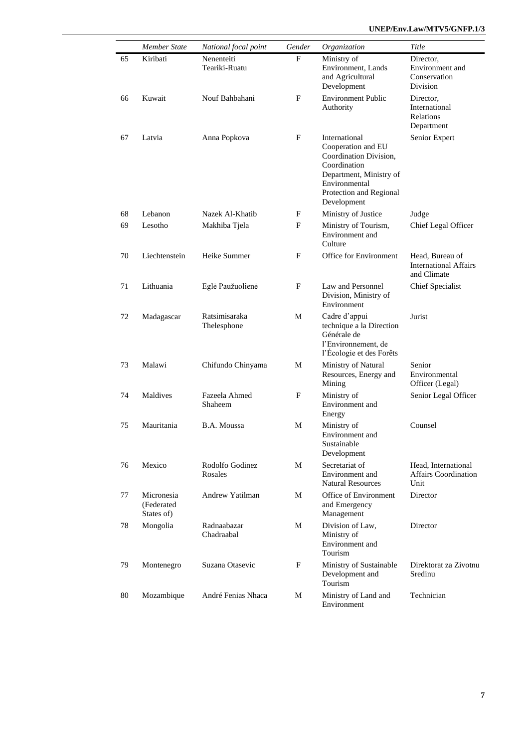|    | <b>Member State</b>                    | National focal point         | Gender | Organization                                                                                                                                                        | Title                                                          |
|----|----------------------------------------|------------------------------|--------|---------------------------------------------------------------------------------------------------------------------------------------------------------------------|----------------------------------------------------------------|
| 65 | Kiribati                               | Nenenteiti<br>Teariki-Ruatu  | F      | Ministry of<br>Environment, Lands<br>and Agricultural<br>Development                                                                                                | Director,<br>Environment and<br>Conservation<br>Division       |
| 66 | Kuwait                                 | Nouf Bahbahani               | F      | <b>Environment Public</b><br>Authority                                                                                                                              | Director.<br>International<br>Relations<br>Department          |
| 67 | Latvia                                 | Anna Popkova                 | F      | International<br>Cooperation and EU<br>Coordination Division,<br>Coordination<br>Department, Ministry of<br>Environmental<br>Protection and Regional<br>Development | Senior Expert                                                  |
| 68 | Lebanon                                | Nazek Al-Khatib              | F      | Ministry of Justice                                                                                                                                                 | Judge                                                          |
| 69 | Lesotho                                | Makhiba Tjela                | F      | Ministry of Tourism,<br>Environment and<br>Culture                                                                                                                  | Chief Legal Officer                                            |
| 70 | Liechtenstein                          | Heike Summer                 | F      | Office for Environment                                                                                                                                              | Head, Bureau of<br><b>International Affairs</b><br>and Climate |
| 71 | Lithuania                              | Eglė Paužuolienė             | F      | Law and Personnel<br>Division, Ministry of<br>Environment                                                                                                           | <b>Chief Specialist</b>                                        |
| 72 | Madagascar                             | Ratsimisaraka<br>Thelesphone | М      | Cadre d'appui<br>technique a la Direction<br>Générale de<br>l'Environnement, de<br>l'Écologie et des Forêts                                                         | Jurist                                                         |
| 73 | Malawi                                 | Chifundo Chinyama            | М      | Ministry of Natural<br>Resources, Energy and<br>Mining                                                                                                              | Senior<br>Environmental<br>Officer (Legal)                     |
| 74 | Maldives                               | Fazeela Ahmed<br>Shaheem     | F      | Ministry of<br>Environment and<br>Energy                                                                                                                            | Senior Legal Officer                                           |
| 75 | Mauritania                             | B.A. Moussa                  | М      | Ministry of<br>Environment and<br>Sustainable<br>Development                                                                                                        | Counsel                                                        |
| 76 | Mexico                                 | Rodolfo Godinez<br>Rosales   | М      | Secretariat of<br>Environment and<br><b>Natural Resources</b>                                                                                                       | Head, International<br>Affairs Coordination<br>Unit            |
| 77 | Micronesia<br>(Federated<br>States of) | Andrew Yatilman              | М      | Office of Environment<br>and Emergency<br>Management                                                                                                                | Director                                                       |
| 78 | Mongolia                               | Radnaabazar<br>Chadraabal    | М      | Division of Law,<br>Ministry of<br>Environment and<br>Tourism                                                                                                       | Director                                                       |
| 79 | Montenegro                             | Suzana Otasevic              | F      | Ministry of Sustainable<br>Development and<br>Tourism                                                                                                               | Direktorat za Zivotnu<br>Sredinu                               |
| 80 | Mozambique                             | André Fenias Nhaca           | М      | Ministry of Land and<br>Environment                                                                                                                                 | Technician                                                     |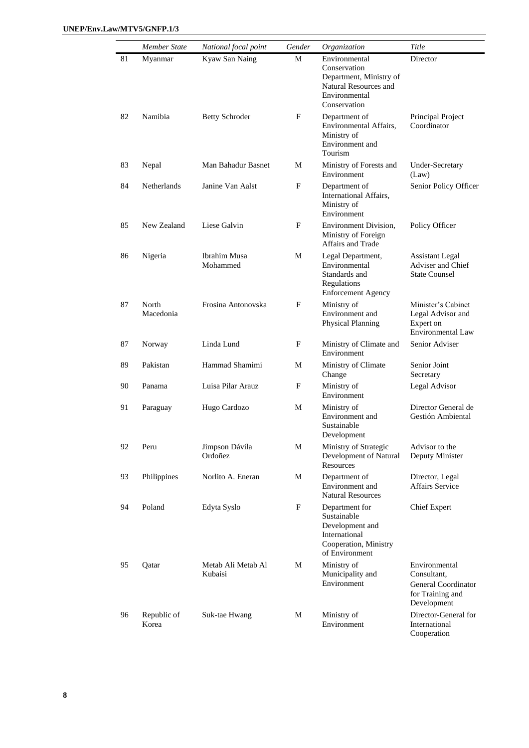|    | Member State         | National focal point          | Gender | Organization                                                                                                       | Title                                                                                  |
|----|----------------------|-------------------------------|--------|--------------------------------------------------------------------------------------------------------------------|----------------------------------------------------------------------------------------|
| 81 | Myanmar              | Kyaw San Naing                | М      | Environmental<br>Conservation<br>Department, Ministry of<br>Natural Resources and<br>Environmental<br>Conservation | Director                                                                               |
| 82 | Namibia              | <b>Betty Schroder</b>         | F      | Department of<br>Environmental Affairs,<br>Ministry of<br>Environment and<br>Tourism                               | Principal Project<br>Coordinator                                                       |
| 83 | Nepal                | Man Bahadur Basnet            | М      | Ministry of Forests and<br>Environment                                                                             | Under-Secretary<br>(Law)                                                               |
| 84 | Netherlands          | Janine Van Aalst              | F      | Department of<br>International Affairs,<br>Ministry of<br>Environment                                              | Senior Policy Officer                                                                  |
| 85 | New Zealand          | Liese Galvin                  | F      | Environment Division,<br>Ministry of Foreign<br>Affairs and Trade                                                  | Policy Officer                                                                         |
| 86 | Nigeria              | Ibrahim Musa<br>Mohammed      | М      | Legal Department,<br>Environmental<br>Standards and<br>Regulations<br><b>Enforcement Agency</b>                    | <b>Assistant Legal</b><br>Adviser and Chief<br><b>State Counsel</b>                    |
| 87 | North<br>Macedonia   | Frosina Antonovska            | F      | Ministry of<br>Environment and<br><b>Physical Planning</b>                                                         | Minister's Cabinet<br>Legal Advisor and<br>Expert on<br><b>Environmental Law</b>       |
| 87 | Norway               | Linda Lund                    | F      | Ministry of Climate and<br>Environment                                                                             | Senior Adviser                                                                         |
| 89 | Pakistan             | Hammad Shamimi                | М      | Ministry of Climate<br>Change                                                                                      | Senior Joint<br>Secretary                                                              |
| 90 | Panama               | Luisa Pilar Arauz             | F      | Ministry of<br>Environment                                                                                         | Legal Advisor                                                                          |
| 91 | Paraguay             | Hugo Cardozo                  | М      | Ministry of<br>Environment and<br>Sustainable<br>Development                                                       | Director General de<br>Gestión Ambiental                                               |
| 92 | Peru                 | Jimpson Dávila<br>Ordoñez     | М      | Ministry of Strategic<br>Development of Natural<br>Resources                                                       | Advisor to the<br>Deputy Minister                                                      |
| 93 | Philippines          | Norlito A. Eneran             | M      | Department of<br>Environment and<br><b>Natural Resources</b>                                                       | Director, Legal<br><b>Affairs Service</b>                                              |
| 94 | Poland               | Edyta Syslo                   | F      | Department for<br>Sustainable<br>Development and<br>International<br>Cooperation, Ministry<br>of Environment       | <b>Chief Expert</b>                                                                    |
| 95 | Qatar                | Metab Ali Metab Al<br>Kubaisi | М      | Ministry of<br>Municipality and<br>Environment                                                                     | Environmental<br>Consultant,<br>General Coordinator<br>for Training and<br>Development |
| 96 | Republic of<br>Korea | Suk-tae Hwang                 | М      | Ministry of<br>Environment                                                                                         | Director-General for<br>International<br>Cooperation                                   |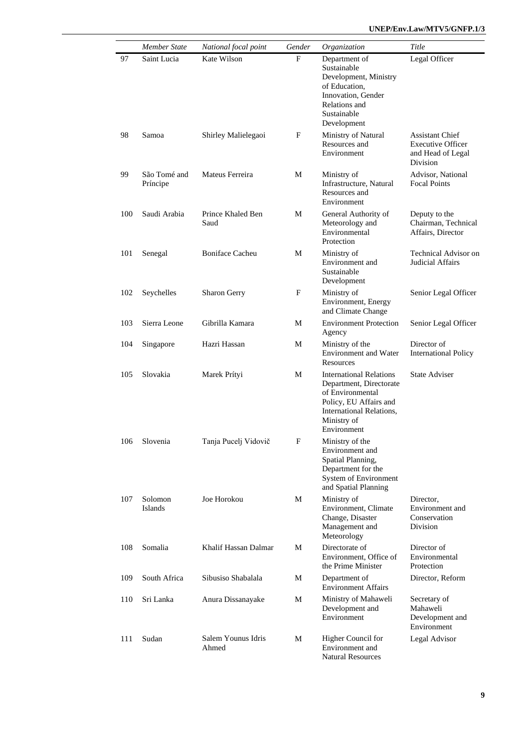|     | Member State             | National focal point        | Gender                    | Organization                                                                                                                                                             | Title                                                                               |
|-----|--------------------------|-----------------------------|---------------------------|--------------------------------------------------------------------------------------------------------------------------------------------------------------------------|-------------------------------------------------------------------------------------|
| 97  | Saint Lucia              | Kate Wilson                 | F                         | Department of<br>Sustainable<br>Development, Ministry<br>of Education,<br>Innovation, Gender<br>Relations and<br>Sustainable<br>Development                              | Legal Officer                                                                       |
| 98  | Samoa                    | Shirley Malielegaoi         | F                         | Ministry of Natural<br>Resources and<br>Environment                                                                                                                      | <b>Assistant Chief</b><br><b>Executive Officer</b><br>and Head of Legal<br>Division |
| 99  | São Tomé and<br>Príncipe | Mateus Ferreira             | M                         | Ministry of<br>Infrastructure, Natural<br>Resources and<br>Environment                                                                                                   | Advisor, National<br><b>Focal Points</b>                                            |
| 100 | Saudi Arabia             | Prince Khaled Ben<br>Saud   | M                         | General Authority of<br>Meteorology and<br>Environmental<br>Protection                                                                                                   | Deputy to the<br>Chairman, Technical<br>Affairs, Director                           |
| 101 | Senegal                  | <b>Boniface Cacheu</b>      | M                         | Ministry of<br>Environment and<br>Sustainable<br>Development                                                                                                             | <b>Technical Advisor on</b><br>Judicial Affairs                                     |
| 102 | Seychelles               | <b>Sharon Gerry</b>         | F                         | Ministry of<br>Environment, Energy<br>and Climate Change                                                                                                                 | Senior Legal Officer                                                                |
| 103 | Sierra Leone             | Gibrilla Kamara             | M                         | <b>Environment Protection</b><br>Agency                                                                                                                                  | Senior Legal Officer                                                                |
| 104 | Singapore                | Hazri Hassan                | M                         | Ministry of the<br><b>Environment</b> and Water<br><b>Resources</b>                                                                                                      | Director of<br><b>International Policy</b>                                          |
| 105 | Slovakia                 | Marek Prítyi                | M                         | <b>International Relations</b><br>Department, Directorate<br>of Environmental<br>Policy, EU Affairs and<br><b>International Relations,</b><br>Ministry of<br>Environment | <b>State Adviser</b>                                                                |
| 106 | Slovenia                 | Tanja Pucelj Vidovič        | $\boldsymbol{\mathrm{F}}$ | Ministry of the<br>Environment and<br>Spatial Planning,<br>Department for the<br>System of Environment<br>and Spatial Planning                                           |                                                                                     |
| 107 | Solomon<br>Islands       | Joe Horokou                 | M                         | Ministry of<br>Environment, Climate<br>Change, Disaster<br>Management and<br>Meteorology                                                                                 | Director,<br>Environment and<br>Conservation<br>Division                            |
| 108 | Somalia                  | Khalif Hassan Dalmar        | M                         | Directorate of<br>Environment, Office of<br>the Prime Minister                                                                                                           | Director of<br>Environmental<br>Protection                                          |
| 109 | South Africa             | Sibusiso Shabalala          | М                         | Department of<br><b>Environment Affairs</b>                                                                                                                              | Director, Reform                                                                    |
| 110 | Sri Lanka                | Anura Dissanayake           | М                         | Ministry of Mahaweli<br>Development and<br>Environment                                                                                                                   | Secretary of<br>Mahaweli<br>Development and<br>Environment                          |
| 111 | Sudan                    | Salem Younus Idris<br>Ahmed | M                         | Higher Council for<br>Environment and<br><b>Natural Resources</b>                                                                                                        | Legal Advisor                                                                       |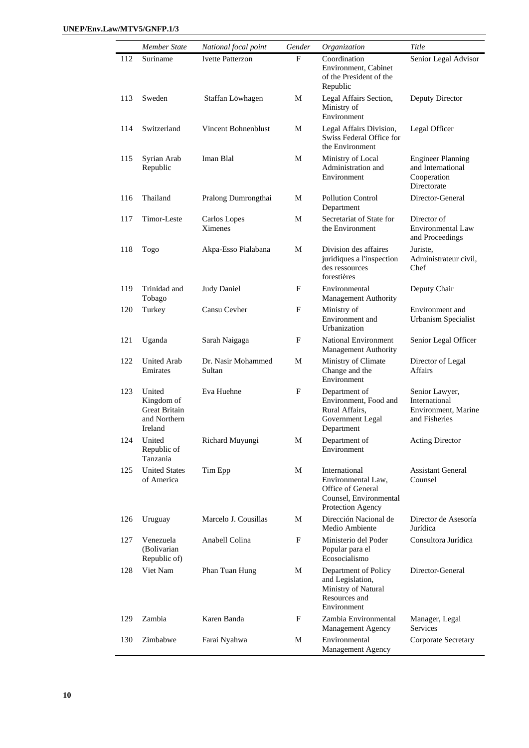|     | Member State                                                            | National focal point         | Gender | Organization                                                                                            | Title                                                                       |
|-----|-------------------------------------------------------------------------|------------------------------|--------|---------------------------------------------------------------------------------------------------------|-----------------------------------------------------------------------------|
| 112 | Suriname                                                                | <b>Ivette Patterzon</b>      | F      | Coordination<br>Environment, Cabinet<br>of the President of the<br>Republic                             | Senior Legal Advisor                                                        |
| 113 | Sweden                                                                  | Staffan Löwhagen             | М      | Legal Affairs Section,<br>Ministry of<br>Environment                                                    | Deputy Director                                                             |
| 114 | Switzerland                                                             | Vincent Bohnenblust          | М      | Legal Affairs Division,<br>Swiss Federal Office for<br>the Environment                                  | Legal Officer                                                               |
| 115 | Syrian Arab<br>Republic                                                 | Iman Blal                    | М      | Ministry of Local<br>Administration and<br>Environment                                                  | <b>Engineer Planning</b><br>and International<br>Cooperation<br>Directorate |
| 116 | Thailand                                                                | Pralong Dumrongthai          | М      | Pollution Control<br>Department                                                                         | Director-General                                                            |
| 117 | Timor-Leste                                                             | Carlos Lopes<br>Ximenes      | М      | Secretariat of State for<br>the Environment                                                             | Director of<br><b>Environmental Law</b><br>and Proceedings                  |
| 118 | Togo                                                                    | Akpa-Esso Pialabana          | M      | Division des affaires<br>juridiques a l'inspection<br>des ressources<br>forestières                     | Juriste.<br>Administrateur civil,<br>Chef                                   |
| 119 | Trinidad and<br>Tobago                                                  | Judy Daniel                  | F      | Environmental<br>Management Authority                                                                   | Deputy Chair                                                                |
| 120 | Turkey                                                                  | Cansu Cevher                 | F      | Ministry of<br>Environment and<br>Urbanization                                                          | Environment and<br>Urbanism Specialist                                      |
| 121 | Uganda                                                                  | Sarah Naigaga                | F      | <b>National Environment</b><br><b>Management Authority</b>                                              | Senior Legal Officer                                                        |
| 122 | <b>United Arab</b><br>Emirates                                          | Dr. Nasir Mohammed<br>Sultan | М      | Ministry of Climate<br>Change and the<br>Environment                                                    | Director of Legal<br>Affairs                                                |
| 123 | United<br>Kingdom of<br><b>Great Britain</b><br>and Northern<br>Ireland | Eva Huehne                   | F      | Department of<br>Environment, Food and<br>Rural Affairs,<br>Government Legal<br>Department              | Senior Lawyer,<br>International<br>Environment, Marine<br>and Fisheries     |
| 124 | United<br>Republic of<br>Tanzania                                       | Richard Muyungi              | М      | Department of<br>Environment                                                                            | <b>Acting Director</b>                                                      |
| 125 | <b>United States</b><br>of America                                      | Tim Epp                      | M      | International<br>Environmental Law,<br>Office of General<br>Counsel, Environmental<br>Protection Agency | <b>Assistant General</b><br>Counsel                                         |
| 126 | Uruguay                                                                 | Marcelo J. Cousillas         | М      | Dirección Nacional de<br>Medio Ambiente                                                                 | Director de Asesoría<br>Jurídica                                            |
| 127 | Venezuela<br>(Bolivarian<br>Republic of)                                | Anabell Colina               | F      | Ministerio del Poder<br>Popular para el<br>Ecosocialismo                                                | Consultora Jurídica                                                         |
| 128 | Viet Nam                                                                | Phan Tuan Hung               | М      | Department of Policy<br>and Legislation,<br>Ministry of Natural<br>Resources and<br>Environment         | Director-General                                                            |
| 129 | Zambia                                                                  | Karen Banda                  | F      | Zambia Environmental<br>Management Agency                                                               | Manager, Legal<br>Services                                                  |
| 130 | Zimbabwe                                                                | Farai Nyahwa                 | М      | Environmental<br>Management Agency                                                                      | Corporate Secretary                                                         |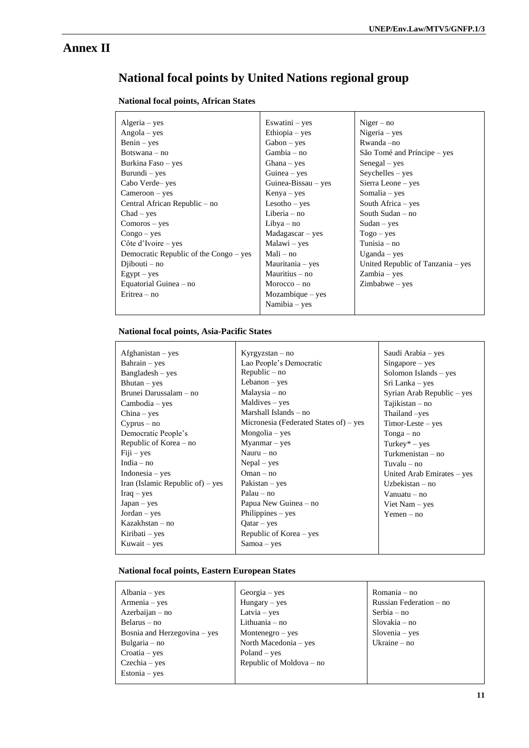## **Annex II**

# **National focal points by United Nations regional group**

#### **National focal points, African States**

| $Algeria - yes$                        | Eswatini $-$ yes    | $Niger - no$                      |
|----------------------------------------|---------------------|-----------------------------------|
| $Angola - yes$                         | Ethiopia – yes      | Nigeria - yes                     |
| $Benin - yes$                          | $Gabon - yes$       | Rwanda -no                        |
| $Botswana - no$                        | $Gambia - no$       | São Tomé and Príncipe – yes       |
| Burkina Faso – yes                     | $Ghana - yes$       | $Senegal - yes$                   |
| Burundi – yes                          | Guinea $-$ yes      | $Seychelles - yes$                |
| Cabo Verde-yes                         | Guinea-Bissau – yes | Sierra Leone – yes                |
| Cameroon – yes                         | $Kenya - yes$       | Somalia – yes                     |
| Central African Republic – no          | $Lesotho - yes$     | South Africa $-$ yes              |
| $Chad - yes$                           | Liberia $-$ no      | South Sudan $-$ no                |
| $Comoros - yes$                        | $Libya - no$        | $Sudan - yes$                     |
| $Congo - yes$                          | $Madagascar - yes$  | $Togo - yes$                      |
| Côte d'Ivoire – yes                    | $Malawi - yes$      | Tunisia $-$ no                    |
| Democratic Republic of the Congo – yes | Mali – no           | Uganda $-$ yes                    |
| $Di$ bouti – no                        | Mauritania – yes    | United Republic of Tanzania – yes |
| $Egypt - yes$                          | Mauritius – no      | Zambia - yes                      |
| Equatorial Guinea – no                 | $Moreover - no$     | $Zimbabwe - yes$                  |
| $Eritrea - no$                         | $Mozambique - yes$  |                                   |
|                                        | Namibia - yes       |                                   |

#### **National focal points, Asia-Pacific States**

| $A$ fghanistan – yes               | $Kyrgyzstan - no$                      | Saudi Arabia – yes         |
|------------------------------------|----------------------------------------|----------------------------|
| $Bahrain - yes$                    | Lao People's Democratic                | $Singapore - yes$          |
| $Bangladesh - yes$                 | ${\rm Republic} - {\rm no}$            | Solomon Islands – yes      |
| $Bhutan - yes$                     | Lebanon $-$ yes                        | Sri Lanka – yes            |
| Brunei Darussalam – no             | Malaysia – no                          | Syrian Arab Republic – yes |
| Cambodia – yes                     | Maldives – yes                         | $Tajikistan - no$          |
| $China - yes$                      | Marshall Islands – no                  | Thailand -yes              |
| $Cyprus - no$                      | Micronesia (Federated States of) – yes | $Timor-Leste - yes$        |
| Democratic People's                | $Mongolia - yes$                       | $Tonga - no$               |
| Republic of Korea – no             | $Myannar - yes$                        | $Turkey*-yes$              |
| $Fiji - yes$                       | Nauru $-$ no                           | Turkmenistan $-$ no        |
| India $-$ no                       | $Nepal - yes$                          | $Tuvalu - no$              |
| $Indonesia - yes$                  | $O$ man – no                           | United Arab Emirates – yes |
| Iran (Islamic Republic of) $-$ yes | $Pakistan - yes$                       | Uzbekistan $-$ no          |
| $Iraq - yes$                       | $P$ alau – no                          | Vanuatu $-$ no             |
| $Japan - yes$                      | Papua New Guinea – no                  | Viet Nam $-$ yes           |
| $Jordan - yes$                     | Philippines - yes                      | $Yemen - no$               |
| Kazakhstan – no                    | $Qatar - yes$                          |                            |
| Kiribati – yes                     | Republic of Korea – yes                |                            |
| Kuwait – yes                       | $Samoa - yes$                          |                            |
|                                    |                                        |                            |

#### **National focal points, Eastern European States**

| Albania $-$ yes              | $Georgia - yes$          | Romania – no            |
|------------------------------|--------------------------|-------------------------|
| Armenia - yes                | $Hungary - yes$          | Russian Federation – no |
| Azerbaijan – no              | Latvia $-$ yes           | $Serbia - no$           |
| $Belarus - no$               | Lithuania $-$ no         | $Slovakia - no$         |
| Bosnia and Herzegovina – yes | Montenegro $-$ yes       | $Slovenia - yes$        |
| Bulgaria $-$ no              | North Macedonia – yes    | Ukraine $-$ no          |
| $Croatia - yes$              | $Poland - yes$           |                         |
| Czechia – yes                | Republic of Moldova – no |                         |
| $Estonia - yes$              |                          |                         |
|                              |                          |                         |